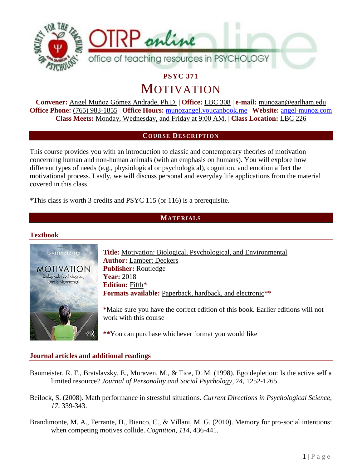

**PSYC 371**

MOTIVATION

**Convener:** Angel Muñoz Gómez Andrade, Ph.D. | **Office:** LBC 308 | **e-mail:** munozan@earlham.edu **Office Phone:** (765) 983-1855 | **Office Hours:** [munozangel.youcanbook.me](file:///C:/Users/munozan/Desktop/munozangel.youcanbook.me) | **Website:** [angel-munoz.com](http://angel-munoz.com/) **Class Meets:** Monday, Wednesday, and Friday at 9:00 AM. | **Class Location:** LBC 226

## **COURSE DESCRIPTION**

This course provides you with an introduction to classic and contemporary theories of motivation concerning human and non-human animals (with an emphasis on humans). You will explore how different types of needs (e.g., physiological or psychological), cognition, and emotion affect the motivational process. Lastly, we will discuss personal and everyday life applications from the material covered in this class.

\*This class is worth 3 credits and PSYC 115 (or 116) is a prerequisite.

## **MATERIALS**

#### **Textbook**



**Title:** Motivation: Biological, Psychological, and Environmental **Author:** Lambert Deckers **Publisher:** Routledge **Year:** 2018 **Edition:** Fifth\* **Formats available:** Paperback, hardback, and electronic\*\*

**\***Make sure you have the correct edition of this book. Earlier editions will not work with this course

**\*\***You can purchase whichever format you would like

#### **Journal articles and additional readings**

- Baumeister, R. F., Bratslavsky, E., Muraven, M., & Tice, D. M. (1998). Ego depletion: Is the active self a limited resource? *Journal of Personality and Social Psychology*, *74*, 1252-1265.
- Beilock, S. (2008). Math performance in stressful situations. *Current Directions in Psychological Science, 17*, 339-343.
- Brandimonte, M. A., Ferrante, D., Bianco, C., & Villani, M. G. (2010). Memory for pro-social intentions: when competing motives collide. *Cognition*, *114*, 436-441.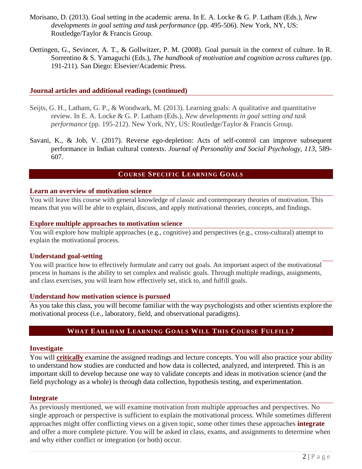- Morisano, D. (2013). Goal setting in the academic arena. In E. A. Locke & G. P. Latham (Eds.), *New developments in goal setting and task performance* (pp. 495-506). New York, NY, US: Routledge/Taylor & Francis Group.
- Oettingen, G., Sevincer, A. T., & Gollwitzer, P. M. (2008). Goal pursuit in the context of culture. In R. Sorrentino & S. Yamaguchi (Eds.), *The handbook of motivation and cognition across cultures* (pp. 191-211). San Diego: Elsevier/Academic Press.

#### **Journal articles and additional readings (continued)**

- Seijts, G. H., Latham, G. P., & Woodwark, M. (2013). Learning goals: A qualitative and quantitative review. In E. A. Locke & G. P. Latham (Eds.), *New developments in goal setting and task performance* (pp. 195-212). New York, NY, US: Routledge/Taylor & Francis Group.
- Savani, K., & Job, V. (2017). Reverse ego-depletion: Acts of self-control can improve subsequent performance in Indian cultural contexts. *Journal of Personality and Social Psychology*, *113*, 589- 607.

## **COURSE SPECIFIC LEARNING GOALS**

#### **Learn an overview of motivation science**

You will leave this course with general knowledge of classic and contemporary theories of motivation. This means that you will be able to explain, discuss, and apply motivational theories, concepts, and findings.

#### **Explore multiple approaches to motivation science**

You will explore how multiple approaches (e.g., cognitive) and perspectives (e.g., cross-cultural) attempt to explain the motivational process.

#### **Understand goal-setting**

You will practice how to effectively formulate and carry out goals. An important aspect of the motivational process in humans is the ability to set complex and realistic goals. Through multiple readings, assignments, and class exercises, you will learn how effectively set, stick to, and fulfill goals.

#### **Understand** *how* **motivation science is pursued**

As you take this class, you will become familiar with the way psychologists and other scientists explore the motivational process (i.e., laboratory, field, and observational paradigms).

## **WHAT EARLHAM LEARNING GOALS WILL THIS COURSE FULFILL?**

#### **Investigate**

You will **critically** examine the assigned readings and lecture concepts. You will also practice your ability to understand how studies are conducted and how data is collected, analyzed, and interpreted. This is an important skill to develop because one way to validate concepts and ideas in motivation science (and the field psychology as a whole) is through data collection, hypothesis testing, and experimentation.

#### **Integrate**

As previously mentioned, we will examine motivation from multiple approaches and perspectives. No single approach or perspective is sufficient to explain the motivational process. While sometimes different approaches might offer conflicting views on a given topic, some other times these approaches **integrate** and offer a more complete picture. You will be asked in class, exams, and assignments to determine when and why either conflict or integration (or both) occur.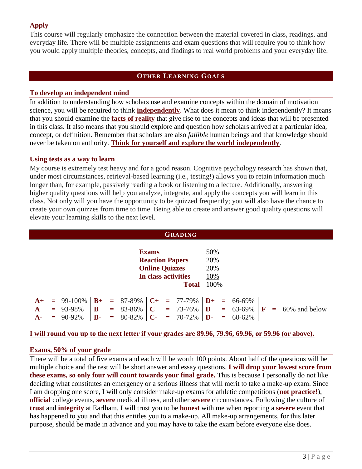# **Apply**

This course will regularly emphasize the connection between the material covered in class, readings, and everyday life. There will be multiple assignments and exam questions that will require you to think how you would apply multiple theories, concepts, and findings to real world problems and your everyday life.

# **OTHER LEARNING GOALS**

## **To develop an independent mind**

In addition to understanding how scholars use and examine concepts within the domain of motivation science, you will be required to think **independently**. What does it mean to think independently? It means that you should examine the **facts of reality** that give rise to the concepts and ideas that will be presented in this class. It also means that you should explore and question how scholars arrived at a particular idea, concept, or definition. Remember that scholars are also *fallible* human beings and that knowledge should never be taken on authority. **Think for yourself and explore the world independently**.

## **Using tests as a way to learn**

My course is extremely test heavy and for a good reason. Cognitive psychology research has shown that, under most circumstances, retrieval-based learning (i.e., testing!) allows you to retain information much longer than, for example, passively reading a book or listening to a lecture. Additionally, answering higher quality questions will help you analyze, integrate, and apply the concepts you will learn in this class. Not only will you have the opportunity to be quizzed frequently; you will also have the chance to create your own quizzes from time to time. Being able to create and answer good quality questions will elevate your learning skills to the next level.

| <b>GRADING</b>                    |                                                                                                        |                                            |                   |     |                                                       |                                  |  |                                |                              |     |                                                                |  |                               |
|-----------------------------------|--------------------------------------------------------------------------------------------------------|--------------------------------------------|-------------------|-----|-------------------------------------------------------|----------------------------------|--|--------------------------------|------------------------------|-----|----------------------------------------------------------------|--|-------------------------------|
|                                   | <b>Exams</b><br><b>Reaction Papers</b><br><b>Online Quizzes</b><br>In class activities<br><b>Total</b> |                                            |                   |     |                                                       | 50%<br>20%<br>20%<br>10%<br>100% |  |                                |                              |     |                                                                |  |                               |
| $A+$<br>$\mathbf{A}$<br><b>A-</b> |                                                                                                        | $= 99-100\%$<br>$= 93-98\%$<br>$= 90-92\%$ | B<br>$\mathbf{B}$ | $=$ | $B+ = 87-89\%$ $C+ = 77-79\%$<br>$=$ 83-86%<br>80-82% | $\mathbf C$<br>$\mathbf C$ -     |  | $= 73 - 76\%$<br>$= 70 - 72\%$ | $\mathbf{D}$<br>$\mathbf{D}$ | $=$ | $\mathbf{D} + \mathbf{B} = 66 - 69\%$<br>$= 63-69\%$<br>60-62% |  | $\mathbf{F} = 60\%$ and below |

#### **I will round you up to the next letter if your grades are 89.96, 79.96, 69.96, or 59.96 (or above).**

## **Exams, 50% of your grade**

There will be a total of five exams and each will be worth 100 points. About half of the questions will be multiple choice and the rest will be short answer and essay questions. **I will drop your lowest score from these exams, so only four will count towards your final grade.** This is because I personally do not like deciding what constitutes an emergency or a serious illness that will merit to take a make-up exam. Since I am dropping one score, I will only consider make-up exams for athletic competitions (**not practice!**), **official** college events, **severe** medical illness, and other **severe** circumstances. Following the culture of **trust** and **integrity** at Earlham, I will trust you to be **honest** with me when reporting a **severe** event that has happened to you and that this entitles you to a make-up. All make-up arrangements, for this later purpose, should be made in advance and you may have to take the exam before everyone else does.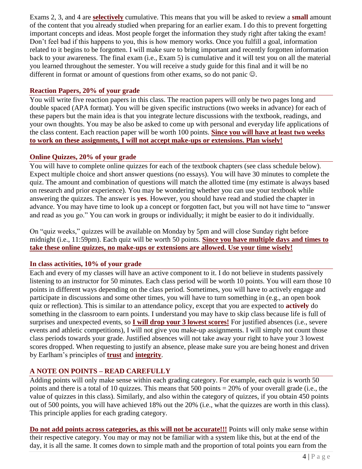Exams 2, 3, and 4 are **selectively** cumulative. This means that you will be asked to review a **small** amount of the content that you already studied when preparing for an earlier exam. I do this to prevent forgetting important concepts and ideas. Most people forget the information they study right after taking the exam! Don't feel bad if this happens to you, this is how memory works. Once you fulfill a goal, information related to it begins to be forgotten. I will make sure to bring important and recently forgotten information back to your awareness. The final exam (i.e., Exam 5) is cumulative and it will test you on all the material you learned throughout the semester. You will receive a study guide for this final and it will be no different in format or amount of questions from other exams, so do not panic  $\mathbb{Q}$ .

## **Reaction Papers, 20% of your grade**

You will write five reaction papers in this class. The reaction papers will only be two pages long and double spaced (APA format). You will be given specific instructions (two weeks in advance) for each of these papers but the main idea is that you integrate lecture discussions with the textbook, readings, and your own thoughts. You may be also be asked to come up with personal and everyday life applications of the class content. Each reaction paper will be worth 100 points. **Since you will have at least two weeks to work on these assignments, I will not accept make-ups or extensions. Plan wisely!**

## **Online Quizzes, 20% of your grade**

You will have to complete online quizzes for each of the textbook chapters (see class schedule below). Expect multiple choice and short answer questions (no essays). You will have 30 minutes to complete the quiz. The amount and combination of questions will match the allotted time (my estimate is always based on research and prior experience). You may be wondering whether you can use your textbook while answering the quizzes. The answer is **yes**. However, you should have read and studied the chapter in advance. You may have time to look up a concept or forgotten fact, but you will not have time to "answer and read as you go." You can work in groups or individually; it might be easier to do it individually.

On "quiz weeks," quizzes will be available on Monday by 5pm and will close Sunday right before midnight (i.e., 11:59pm). Each quiz will be worth 50 points. **Since you have multiple days and times to take these online quizzes, no make-ups or extensions are allowed. Use your time wisely!**

## **In class activities, 10% of your grade**

Each and every of my classes will have an active component to it. I do not believe in students passively listening to an instructor for 50 minutes. Each class period will be worth 10 points. You will earn those 10 points in different ways depending on the class period. Sometimes, you will have to actively engage and participate in discussions and some other times, you will have to turn something in (e.g., an open book quiz or reflection). This is similar to an attendance policy, except that you are expected to **actively** do something in the classroom to earn points. I understand you may have to skip class because life is full of surprises and unexpected events, so **I will drop your 3 lowest scores!** For justified absences (i.e., severe events and athletic competitions), I will not give you make-up assignments. I will simply not count those class periods towards your grade. Justified absences will not take away your right to have your 3 lowest scores dropped. When requesting to justify an absence, please make sure you are being honest and driven by Earlham's principles of **trust** and **integrity**.

# **A NOTE ON POINTS – READ CAREFULLY**

Adding points will only make sense within each grading category. For example, each quiz is worth 50 points and there is a total of 10 quizzes. This means that 500 points = 20% of your overall grade (i.e., the value of quizzes in this class). Similarly, and also within the category of quizzes, if you obtain 450 points out of 500 points, you will have achieved 18% out the 20% (i.e., what the quizzes are worth in this class). This principle applies for each grading category.

**Do not add points across categories, as this will not be accurate!!!** Points will only make sense within their respective category. You may or may not be familiar with a system like this, but at the end of the day, it is all the same. It comes down to simple math and the proportion of total points you earn from the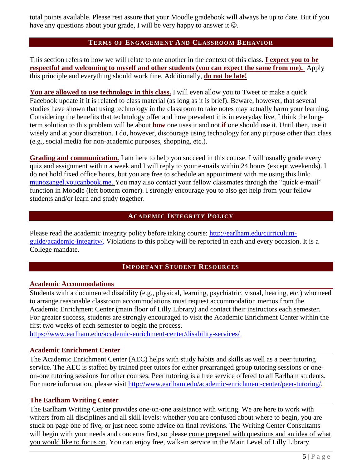total points available. Please rest assure that your Moodle gradebook will always be up to date. But if you have any questions about your grade, I will be very happy to answer it  $\odot$ .

## **TERMS OF ENGAGEMENT AND CLASSROOM BEHAVIOR**

This section refers to how we will relate to one another in the context of this class. **I expect you to be respectful and welcoming to myself and other students (you can expect the same from me).** Apply this principle and everything should work fine. Additionally, **do not be late!**

**You are allowed to use technology in this class.** I will even allow you to Tweet or make a quick Facebook update if it is related to class material (as long as it is brief). Beware, however, that several studies have shown that using technology in the classroom to take notes may actually harm your learning. Considering the benefits that technology offer and how prevalent it is in everyday live, I think the longterm solution to this problem will be about **how** one uses it and not **if** one should use it. Until then, use it wisely and at your discretion. I do, however, discourage using technology for any purpose other than class (e.g., social media for non-academic purposes, shopping, etc.).

**Grading and communication.** I am here to help you succeed in this course. I will usually grade every quiz and assignment within a week and I will reply to your e-mails within 24 hours (except weekends). I do not hold fixed office hours, but you are free to schedule an appointment with me using this link: [munozangel.youcanbook.me.](file:///C:/Users/munozan/Desktop/munozangel.youcanbook.me) You may also contact your fellow classmates through the "quick e-mail" function in Moodle (left bottom corner). I strongly encourage you to also get help from your fellow students and/or learn and study together.

## **ACADEMIC INTEGRITY POLICY**

Please read the academic integrity policy before taking course: [http://earlham.edu/curriculum](http://earlham.edu/curriculum-guide/academic-integrity/)[guide/academic-integrity/.](http://earlham.edu/curriculum-guide/academic-integrity/) Violations to this policy will be reported in each and every occasion. It is a College mandate.

#### **IMPORTANT STUDENT RESOURCES**

#### **Academic Accommodations**

Students with a documented disability (e.g., physical, learning, psychiatric, visual, hearing, etc.) who need to arrange reasonable classroom accommodations must request accommodation memos from the Academic Enrichment Center (main floor of Lilly Library) and contact their instructors each semester. For greater success, students are strongly encouraged to visit the Academic Enrichment Center within the first two weeks of each semester to begin the process.

<https://www.earlham.edu/academic-enrichment-center/disability-services/>

#### **Academic Enrichment Center**

The Academic Enrichment Center (AEC) helps with study habits and skills as well as a peer tutoring service. The AEC is staffed by trained peer tutors for either prearranged group tutoring sessions or oneon-one tutoring sessions for other courses. Peer tutoring is a free service offered to all Earlham students. For more information, please visit [http://www.earlham.edu/academic-enrichment-center/peer-tutoring/.](http://www.earlham.edu/academic-enrichment-center/peer-tutoring/)

#### **The Earlham Writing Center**

The Earlham Writing Center provides one-on-one assistance with writing. We are here to work with writers from all disciplines and all skill levels: whether you are confused about where to begin, you are stuck on page one of five, or just need some advice on final revisions. The Writing Center Consultants will begin with your needs and concerns first, so please come prepared with questions and an idea of what you would like to focus on. You can enjoy free, walk-in service in the Main Level of Lilly Library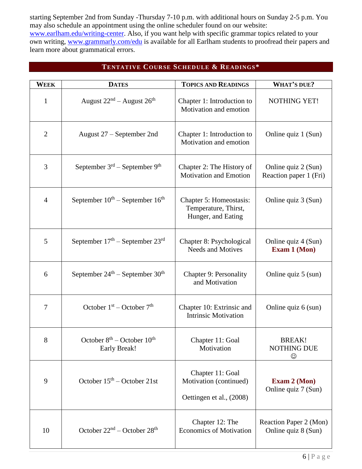starting September 2nd from Sunday -Thursday 7-10 p.m. with additional hours on Sunday 2-5 p.m. You may also schedule an appointment using the online scheduler found on our website: [www.earlham.edu/writing-center.](http://www.earlham.edu/writing-center) Also, if you want help with specific grammar topics related to your own writing, [www.grammarly.com/edu](http://www.grammarly.com/edu) is available for all Earlham students to proofread their papers and learn more about grammatical errors.

# **TENTATIVE COURSE SCHEDULE & READINGS\***

| WEEK           | <b>DATES</b>                                            | <b>TOPICS AND READINGS</b>                                             | <b>WHAT'S DUE?</b>                            |
|----------------|---------------------------------------------------------|------------------------------------------------------------------------|-----------------------------------------------|
| $\mathbf{1}$   | August $22nd$ – August $26th$                           | Chapter 1: Introduction to<br>Motivation and emotion                   | NOTHING YET!                                  |
| $\overline{2}$ | August $27$ – September 2nd                             | Chapter 1: Introduction to<br>Motivation and emotion                   | Online quiz 1 (Sun)                           |
| 3              | September $3rd$ – September 9 <sup>th</sup>             | Chapter 2: The History of<br><b>Motivation and Emotion</b>             | Online quiz 2 (Sun)<br>Reaction paper 1 (Fri) |
| $\overline{4}$ | September $10^{th}$ – September $16^{th}$               | Chapter 5: Homeostasis:<br>Temperature, Thirst,<br>Hunger, and Eating  | Online quiz 3 (Sun)                           |
| 5              | September $17th$ – September $23rd$                     | Chapter 8: Psychological<br><b>Needs and Motives</b>                   | Online quiz 4 (Sun)<br>Exam 1 (Mon)           |
| 6              | September $24^{\text{th}}$ – September $30^{\text{th}}$ | <b>Chapter 9: Personality</b><br>and Motivation                        | Online quiz 5 (sun)                           |
| 7              | October $1st$ – October $7th$                           | Chapter 10: Extrinsic and<br><b>Intrinsic Motivation</b>               | Online quiz 6 (sun)                           |
| 8              | October $8th$ – October $10th$<br>Early Break!          | Chapter 11: Goal<br>Motivation                                         | BREAK!<br>NOTHING DUE<br>☺                    |
| 9              | October $15th$ – October 21st                           | Chapter 11: Goal<br>Motivation (continued)<br>Oettingen et al., (2008) | <b>Exam 2 (Mon)</b><br>Online quiz 7 (Sun)    |
| 10             | October $22nd$ – October $28th$                         | Chapter 12: The<br><b>Economics of Motivation</b>                      | Reaction Paper 2 (Mon)<br>Online quiz 8 (Sun) |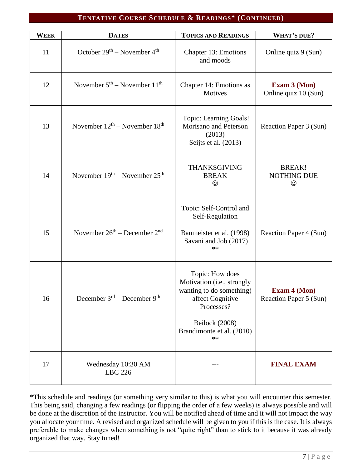### **TENTATIVE COURSE SCHEDULE & READINGS\* (CONTINUED)**

| <b>WEEK</b> | <b>DATES</b>                            | <b>TOPICS AND READINGS</b>                                                                                                                                       | <b>WHAT'S DUE?</b>                            |
|-------------|-----------------------------------------|------------------------------------------------------------------------------------------------------------------------------------------------------------------|-----------------------------------------------|
| 11          | October $29th$ – November $4th$         | Chapter 13: Emotions<br>and moods                                                                                                                                | Online quiz 9 (Sun)                           |
| 12          | November $5th$ – November $11th$        | Chapter 14: Emotions as<br><b>Motives</b>                                                                                                                        | <b>Exam 3 (Mon)</b><br>Online quiz 10 (Sun)   |
| 13          | November $12^{th}$ – November $18^{th}$ | Topic: Learning Goals!<br>Morisano and Peterson<br>(2013)<br>Seijts et al. (2013)                                                                                | Reaction Paper 3 (Sun)                        |
| 14          | November $19th$ – November $25th$       | <b>THANKSGIVING</b><br><b>BREAK</b><br>☺                                                                                                                         | <b>BREAK!</b><br><b>NOTHING DUE</b><br>☺      |
| 15          | November $26th$ – December $2nd$        | Topic: Self-Control and<br>Self-Regulation<br>Baumeister et al. (1998)<br>Savani and Job (2017)<br>**                                                            | Reaction Paper 4 (Sun)                        |
| 16          | December $3rd$ – December $9th$         | Topic: How does<br>Motivation (i.e., strongly<br>wanting to do something)<br>affect Cognitive<br>Processes?<br>Beilock (2008)<br>Brandimonte et al. (2010)<br>** | <b>Exam 4 (Mon)</b><br>Reaction Paper 5 (Sun) |
| 17          | Wednesday 10:30 AM<br><b>LBC</b> 226    |                                                                                                                                                                  | <b>FINAL EXAM</b>                             |

\*This schedule and readings (or something very similar to this) is what you will encounter this semester. This being said, changing a few readings (or flipping the order of a few weeks) is always possible and will be done at the discretion of the instructor. You will be notified ahead of time and it will not impact the way you allocate your time. A revised and organized schedule will be given to you if this is the case. It is always preferable to make changes when something is not "quite right" than to stick to it because it was already organized that way. Stay tuned!